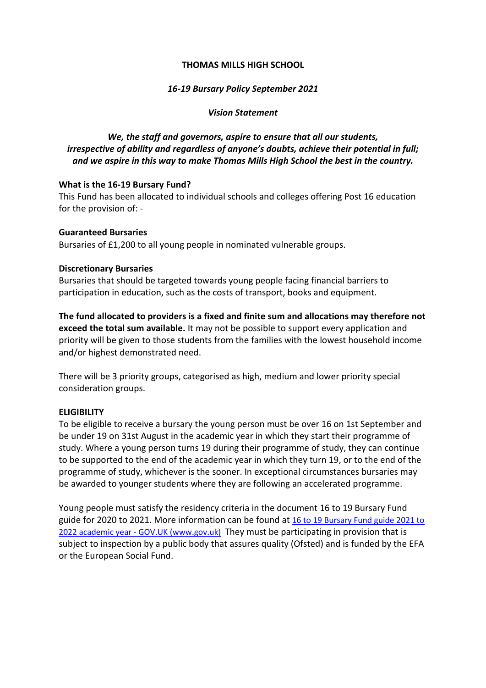#### **THOMAS MILLS HIGH SCHOOL**

## *16-19 Bursary Policy September 2021*

#### *Vision Statement*

# *We, the staff and governors, aspire to ensure that all our students, irrespective of ability and regardless of anyone's doubts, achieve their potential in full; and we aspire in this way to make Thomas Mills High School the best in the country.*

#### **What is the 16-19 Bursary Fund?**

This Fund has been allocated to individual schools and colleges offering Post 16 education for the provision of: -

### **Guaranteed Bursaries**

Bursaries of £1,200 to all young people in nominated vulnerable groups.

### **Discretionary Bursaries**

Bursaries that should be targeted towards young people facing financial barriers to participation in education, such as the costs of transport, books and equipment.

**The fund allocated to providers is a fixed and finite sum and allocations may therefore not exceed the total sum available.** It may not be possible to support every application and priority will be given to those students from the families with the lowest household income and/or highest demonstrated need.

There will be 3 priority groups, categorised as high, medium and lower priority special consideration groups.

## **ELIGIBILITY**

To be eligible to receive a bursary the young person must be over 16 on 1st September and be under 19 on 31st August in the academic year in which they start their programme of study. Where a young person turns 19 during their programme of study, they can continue to be supported to the end of the academic year in which they turn 19, or to the end of the programme of study, whichever is the sooner. In exceptional circumstances bursaries may be awarded to younger students where they are following an accelerated programme.

Young people must satisfy the residency criteria in the document 16 to 19 Bursary Fund guide for 2020 to 2021. More information can be found at [16 to 19 Bursary Fund guide 2021 to](https://www.gov.uk/guidance/16-to-19-bursary-fund-guide-2021-to-2022-academic-year)  2022 academic year - [GOV.UK \(www.gov.uk\)](https://www.gov.uk/guidance/16-to-19-bursary-fund-guide-2021-to-2022-academic-year) They must be participating in provision that is subject to inspection by a public body that assures quality (Ofsted) and is funded by the EFA or the European Social Fund.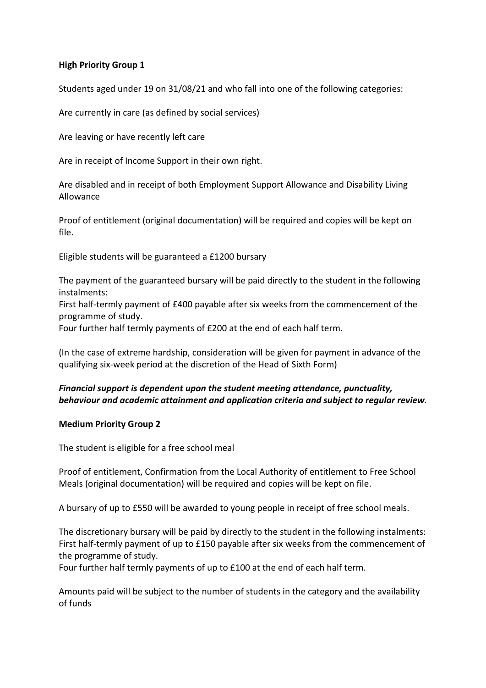## **High Priority Group 1**

Students aged under 19 on 31/08/21 and who fall into one of the following categories:

Are currently in care (as defined by social services)

Are leaving or have recently left care

Are in receipt of Income Support in their own right.

Are disabled and in receipt of both Employment Support Allowance and Disability Living Allowance

Proof of entitlement (original documentation) will be required and copies will be kept on file.

Eligible students will be guaranteed a £1200 bursary

The payment of the guaranteed bursary will be paid directly to the student in the following instalments:

First half-termly payment of £400 payable after six weeks from the commencement of the programme of study.

Four further half termly payments of £200 at the end of each half term.

(In the case of extreme hardship, consideration will be given for payment in advance of the qualifying six-week period at the discretion of the Head of Sixth Form)

## *Financial support is dependent upon the student meeting attendance, punctuality, behaviour and academic attainment and application criteria and subject to regular review.*

#### **Medium Priority Group 2**

The student is eligible for a free school meal

Proof of entitlement, Confirmation from the Local Authority of entitlement to Free School Meals (original documentation) will be required and copies will be kept on file.

A bursary of up to £550 will be awarded to young people in receipt of free school meals.

The discretionary bursary will be paid by directly to the student in the following instalments: First half-termly payment of up to £150 payable after six weeks from the commencement of the programme of study.

Four further half termly payments of up to £100 at the end of each half term.

Amounts paid will be subject to the number of students in the category and the availability of funds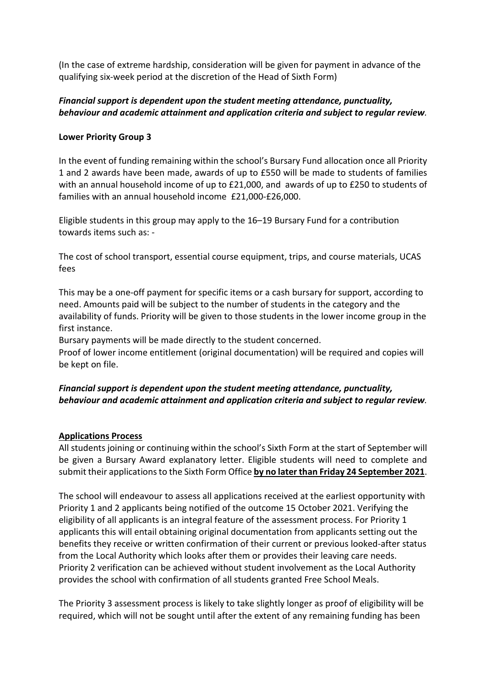(In the case of extreme hardship, consideration will be given for payment in advance of the qualifying six-week period at the discretion of the Head of Sixth Form)

## *Financial support is dependent upon the student meeting attendance, punctuality, behaviour and academic attainment and application criteria and subject to regular review.*

## **Lower Priority Group 3**

In the event of funding remaining within the school's Bursary Fund allocation once all Priority 1 and 2 awards have been made, awards of up to £550 will be made to students of families with an annual household income of up to £21,000, and awards of up to £250 to students of families with an annual household income £21,000-£26,000.

Eligible students in this group may apply to the 16–19 Bursary Fund for a contribution towards items such as: -

The cost of school transport, essential course equipment, trips, and course materials, UCAS fees

This may be a one-off payment for specific items or a cash bursary for support, according to need. Amounts paid will be subject to the number of students in the category and the availability of funds. Priority will be given to those students in the lower income group in the first instance.

Bursary payments will be made directly to the student concerned.

Proof of lower income entitlement (original documentation) will be required and copies will be kept on file.

## *Financial support is dependent upon the student meeting attendance, punctuality, behaviour and academic attainment and application criteria and subject to regular review.*

#### **Applications Process**

All students joining or continuing within the school's Sixth Form at the start of September will be given a Bursary Award explanatory letter. Eligible students will need to complete and submit their applications to the Sixth Form Office **by no later than Friday 24 September 2021**.

The school will endeavour to assess all applications received at the earliest opportunity with Priority 1 and 2 applicants being notified of the outcome 15 October 2021. Verifying the eligibility of all applicants is an integral feature of the assessment process. For Priority 1 applicants this will entail obtaining original documentation from applicants setting out the benefits they receive or written confirmation of their current or previous looked-after status from the Local Authority which looks after them or provides their leaving care needs. Priority 2 verification can be achieved without student involvement as the Local Authority provides the school with confirmation of all students granted Free School Meals.

The Priority 3 assessment process is likely to take slightly longer as proof of eligibility will be required, which will not be sought until after the extent of any remaining funding has been